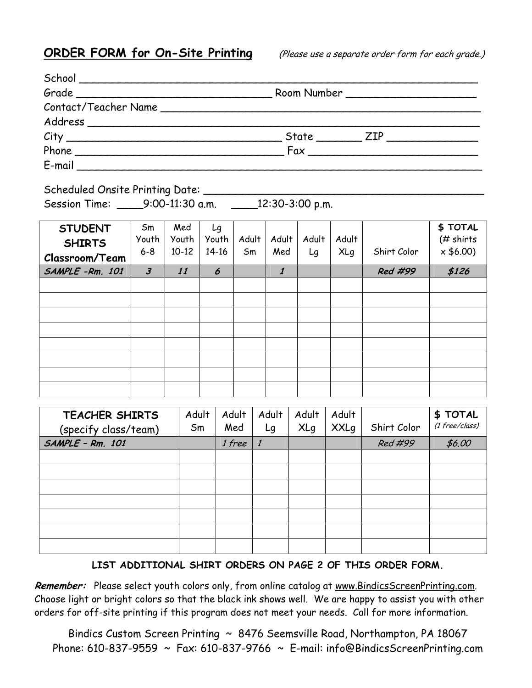**ORDER FORM for On-Site Printing** (Please use a separate order form for each grade.)

|           |  | State <u>ZIP</u> |  |  |  |
|-----------|--|------------------|--|--|--|
|           |  |                  |  |  |  |
| $E$ -mail |  |                  |  |  |  |

Scheduled Onsite Printing Date: \_\_\_\_\_

Session Time: \_\_\_\_9:00-11:30 a.m. \_\_\_\_12:30-3:00 p.m.

| <b>STUDENT</b><br><b>SHIRTS</b> | Sm<br>Youth<br>$6 - 8$ | Med<br>Youth<br>$10 - 12$ | Lg<br>Youth<br>$14 - 16$ | Adult<br>Sm | Adult<br>Med         | Adult | Adult      | Shirt Color | \$TOTAL<br>$#$ shirts<br>x \$6.00 |
|---------------------------------|------------------------|---------------------------|--------------------------|-------------|----------------------|-------|------------|-------------|-----------------------------------|
| Classroom/Team                  |                        |                           |                          |             |                      | Lg    | <b>XLg</b> |             |                                   |
| SAMPLE-Rm. 101                  | $\boldsymbol{\beta}$   | 11                        | 6                        |             | $\boldsymbol{\it 1}$ |       |            | Red #99     | \$126                             |
|                                 |                        |                           |                          |             |                      |       |            |             |                                   |
|                                 |                        |                           |                          |             |                      |       |            |             |                                   |
|                                 |                        |                           |                          |             |                      |       |            |             |                                   |
|                                 |                        |                           |                          |             |                      |       |            |             |                                   |
|                                 |                        |                           |                          |             |                      |       |            |             |                                   |
|                                 |                        |                           |                          |             |                      |       |            |             |                                   |
|                                 |                        |                           |                          |             |                      |       |            |             |                                   |
|                                 |                        |                           |                          |             |                      |       |            |             |                                   |

| <b>TEACHER SHIRTS</b> | Adult | Adult  | Adult | Adult      | Adult       |             | \$TOTAL          |
|-----------------------|-------|--------|-------|------------|-------------|-------------|------------------|
| (specify class/team)  | Sm    | Med    | Lg    | <b>XLg</b> | <b>XXLg</b> | Shirt Color | $(1$ free/class) |
| SAMPLE - Rm. 101      |       | 1 free |       |            |             | Red #99     | \$6.00           |
|                       |       |        |       |            |             |             |                  |
|                       |       |        |       |            |             |             |                  |
|                       |       |        |       |            |             |             |                  |
|                       |       |        |       |            |             |             |                  |
|                       |       |        |       |            |             |             |                  |
|                       |       |        |       |            |             |             |                  |
|                       |       |        |       |            |             |             |                  |

## **LIST ADDITIONAL SHIRT ORDERS ON PAGE 2 OF THIS ORDER FORM.**

Remember: Please select youth colors only, from online catalog at www.BindicsScreenPrinting.com. Choose light or bright colors so that the black ink shows well. We are happy to assist you with other orders for off-site printing if this program does not meet your needs. Call for more information.

Bindics Custom Screen Printing ~ 8476 Seemsville Road, Northampton, PA 18067 Phone: 610-837-9559 ~ Fax: 610-837-9766 ~ E-mail: info@BindicsScreenPrinting.com